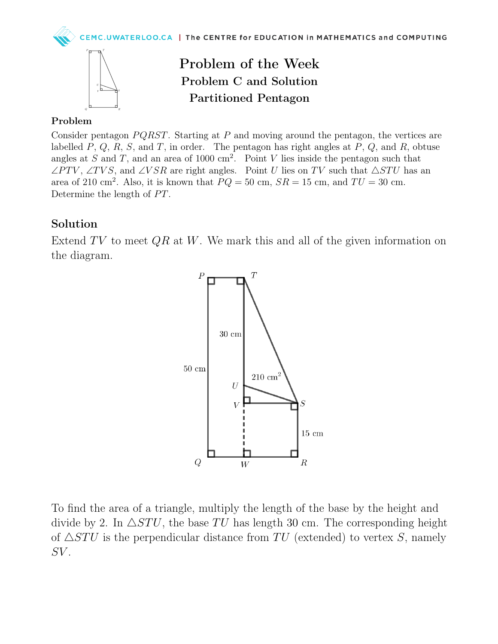



Problem of the Week Problem C and Solution Partitioned Pentagon

## Problem

Consider pentagon  $PQRST$ . Starting at P and moving around the pentagon, the vertices are labelled  $P, Q, R, S$ , and T, in order. The pentagon has right angles at  $P, Q$ , and  $R$ , obtuse angles at S and T, and an area of 1000 cm<sup>2</sup>. Point V lies inside the pentagon such that  $\angle PTV$ ,  $\angle TVS$ , and  $\angle VSR$  are right angles. Point U lies on TV such that  $\triangle STU$  has an area of 210 cm<sup>2</sup>. Also, it is known that  $PQ = 50$  cm,  $SR = 15$  cm, and  $TU = 30$  cm. Determine the length of PT.

## Solution

Extend  $TV$  to meet  $QR$  at  $W$ . We mark this and all of the given information on the diagram.



To find the area of a triangle, multiply the length of the base by the height and divide by 2. In  $\triangle STU$ , the base TU has length 30 cm. The corresponding height of  $\triangle STU$  is the perpendicular distance from TU (extended) to vertex S, namely  $SV$ .